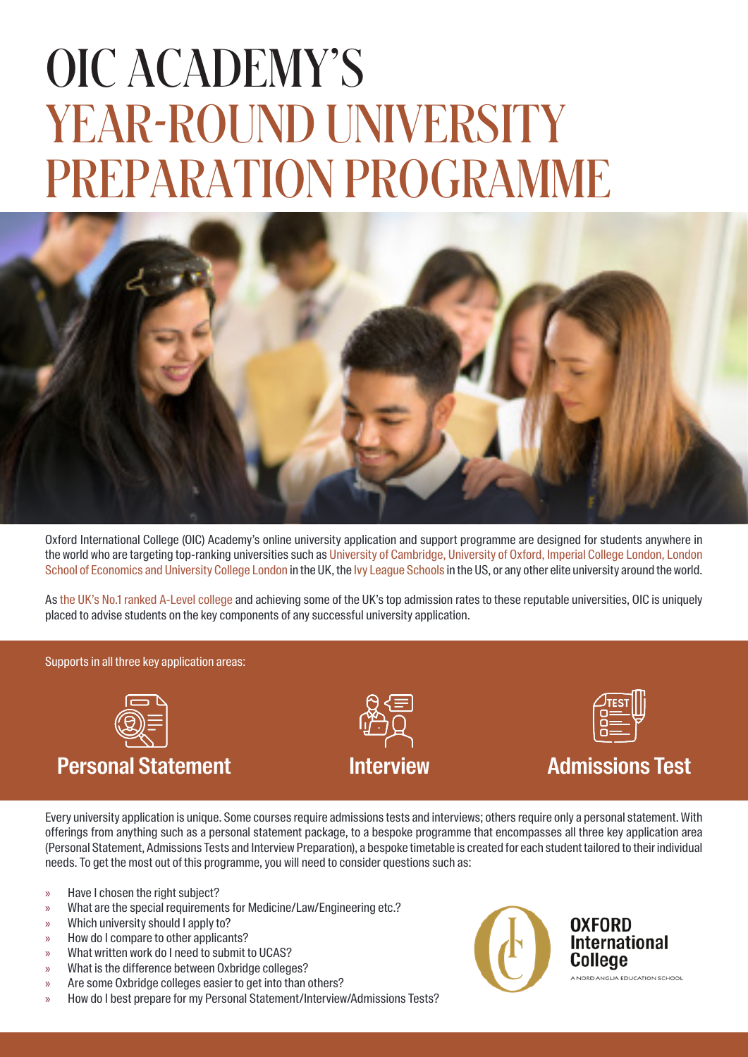# OIC ACADEMY'S YEAR-ROUND UNIVERSITY PREPARATION PROGRAMME



Oxford International College (OIC) Academy's online university application and support programme are designed for students anywhere in the world who are targeting top-ranking universities such as University of Cambridge, University of Oxford, Imperial College London, London School of Economics and University College London in the UK, the Ivy League Schools in the US, or any other elite university around the world.

As the UK's No.1 ranked A-Level college and achieving some of the UK's top admission rates to these reputable universities, OIC is uniquely placed to advise students on the key components of any successful university application.

Supports in all three key application areas:



### **Personal Statement**





#### **Interview Admissions Test**

Every university application is unique. Some courses require admissions tests and interviews; others require only a personal statement. With offerings from anything such as a personal statement package, to a bespoke programme that encompasses all three key application area (Personal Statement, Admissions Tests and Interview Preparation), a bespoke timetable is created for each student tailored to their individual needs. To get the most out of this programme, you will need to consider questions such as:

- » Have I chosen the right subject?
- » What are the special requirements for Medicine/Law/Engineering etc.?
- » Which university should I apply to?
- » How do I compare to other applicants?
- » What written work do I need to submit to UCAS?
- » What is the difference between Oxbridge colleges?
- Are some Oxbridge colleges easier to get into than others?
- » How do I best prepare for my Personal Statement/Interview/Admissions Tests?



**OXFORD International** Colleae A NORD ANGLIA EDUCATION SCHOOL